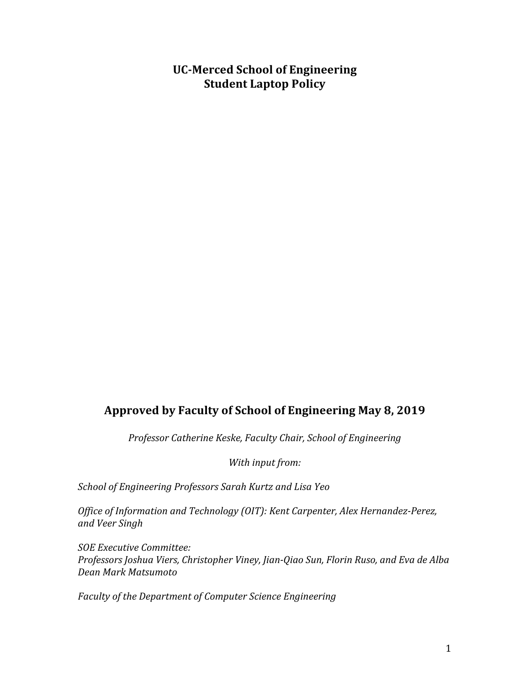# **UC-Merced School of Engineering Student Laptop Policy**

# Approved by Faculty of School of Engineering May 8, 2019

*Professor Catherine Keske, Faculty Chair, School of Engineering*

With input from:

*School of Engineering Professors Sarah Kurtz and Lisa Yeo*

*Office of Information and Technology (OIT): Kent Carpenter, Alex Hernandez-Perez, and Veer Singh*

*SOE Executive Committee: Professors Joshua Viers, Christopher Viney, Jian-Qiao Sun, Florin Ruso, and Eva de Alba Dean Mark Matsumoto*

*Faculty of the Department of Computer Science Engineering*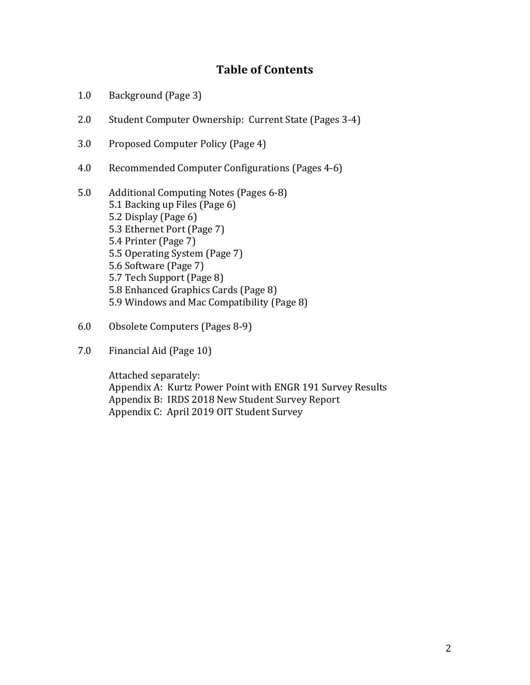# **Table of Contents**

- 1.0 Background (Page 3)
- 2.0 Student Computer Ownership: Current State (Pages 3-4)
- 3.0 Proposed Computer Policy (Page 4)
- 4.0 Recommended Computer Configurations (Pages 4-6)
- 5.0 Additional Computing Notes (Pages 6-8) 5.1 Backing up Files (Page 6) 5.2 Display (Page 6) 5.3 Ethernet Port (Page 7) 5.4 Printer (Page 7) 5.5 Operating System (Page 7) 5.6 Software (Page 7) 5.7 Tech Support (Page 8) 5.8 Enhanced Graphics Cards (Page 8) 5.9 Windows and Mac Compatibility (Page 8)
- 6.0 Obsolete Computers (Pages 8-9)
- 7.0 Financial Aid (Page 10)

Attached separately: Appendix A: Kurtz Power Point with ENGR 191 Survey Results Appendix B: IRDS 2018 New Student Survey Report Appendix C: April 2019 OIT Student Survey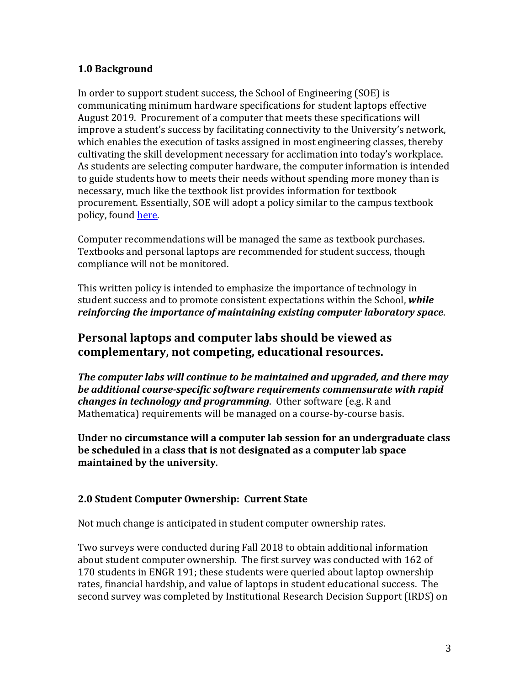#### **1.0 Background**

In order to support student success, the School of Engineering (SOE) is communicating minimum hardware specifications for student laptops effective August 2019. Procurement of a computer that meets these specifications will improve a student's success by facilitating connectivity to the University's network, which enables the execution of tasks assigned in most engineering classes, thereby cultivating the skill development necessary for acclimation into today's workplace. As students are selecting computer hardware, the computer information is intended to guide students how to meets their needs without spending more money than is necessary, much like the textbook list provides information for textbook procurement. Essentially, SOE will adopt a policy similar to the campus textbook policy, found here.

Computer recommendations will be managed the same as textbook purchases. Textbooks and personal laptops are recommended for student success, though compliance will not be monitored.

This written policy is intended to emphasize the importance of technology in student success and to promote consistent expectations within the School, while *reinforcing the importance of maintaining existing computer laboratory space.* 

## **Personal laptops and computer labs should be viewed as** complementary, not competing, educational resources.

**The computer labs will continue to be maintained and uparaded, and there may be additional course-specific software requirements commensurate with rapid** *changes in technology and programming.* Other software (e.g. R and Mathematica) requirements will be managed on a course-by-course basis.

Under no circumstance will a computer lab session for an undergraduate class be scheduled in a class that is not designated as a computer lab space **maintained by the university.** 

## **2.0 Student Computer Ownership: Current State**

Not much change is anticipated in student computer ownership rates.

Two surveys were conducted during Fall 2018 to obtain additional information about student computer ownership. The first survey was conducted with 162 of 170 students in ENGR 191; these students were queried about laptop ownership rates, financial hardship, and value of laptops in student educational success. The second survey was completed by Institutional Research Decision Support (IRDS) on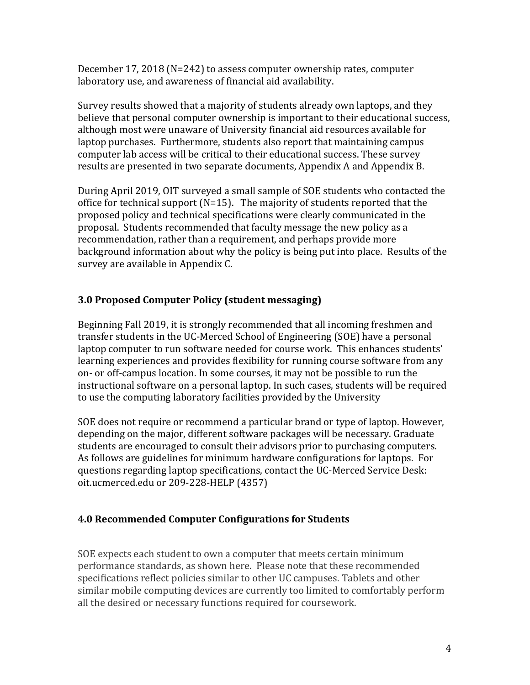December  $17, 2018$  (N=242) to assess computer ownership rates, computer laboratory use, and awareness of financial aid availability.

Survey results showed that a majority of students already own laptops, and they believe that personal computer ownership is important to their educational success, although most were unaware of University financial aid resources available for laptop purchases. Furthermore, students also report that maintaining campus computer lab access will be critical to their educational success. These survey results are presented in two separate documents, Appendix A and Appendix B.

During April 2019, OIT surveyed a small sample of SOE students who contacted the office for technical support  $(N=15)$ . The majority of students reported that the proposed policy and technical specifications were clearly communicated in the proposal. Students recommended that faculty message the new policy as a recommendation, rather than a requirement, and perhaps provide more background information about why the policy is being put into place. Results of the survey are available in Appendix C.

#### **3.0 Proposed Computer Policy (student messaging)**

Beginning Fall 2019, it is strongly recommended that all incoming freshmen and transfer students in the UC-Merced School of Engineering (SOE) have a personal laptop computer to run software needed for course work. This enhances students' learning experiences and provides flexibility for running course software from any on- or off-campus location. In some courses, it may not be possible to run the instructional software on a personal laptop. In such cases, students will be required to use the computing laboratory facilities provided by the University

SOE does not require or recommend a particular brand or type of laptop. However, depending on the major, different software packages will be necessary. Graduate students are encouraged to consult their advisors prior to purchasing computers. As follows are guidelines for minimum hardware configurations for laptops. For questions regarding laptop specifications, contact the UC-Merced Service Desk: oit.ucmerced.edu or 209-228-HELP (4357)

#### **4.0 Recommended Computer Configurations for Students**

SOE expects each student to own a computer that meets certain minimum performance standards, as shown here. Please note that these recommended specifications reflect policies similar to other UC campuses. Tablets and other similar mobile computing devices are currently too limited to comfortably perform all the desired or necessary functions required for coursework.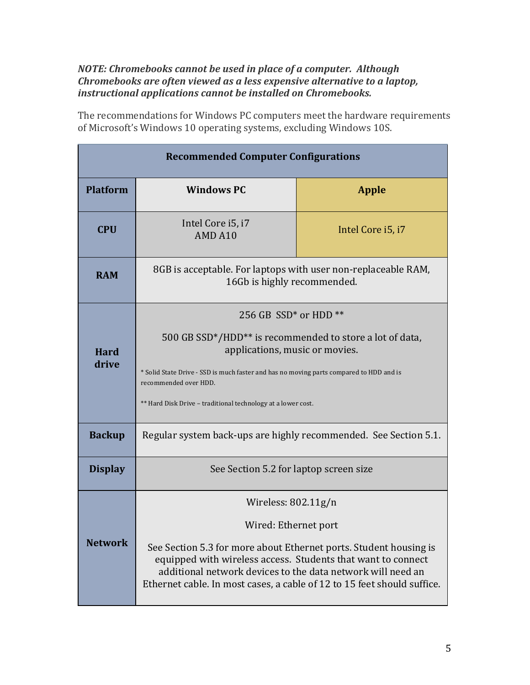#### *NOTE: Chromebooks cannot be used in place of a computer. Although Chromebooks are often viewed as a less expensive alternative to a laptop,* instructional applications cannot be installed on Chromebooks.

The recommendations for Windows PC computers meet the hardware requirements of Microsoft's Windows 10 operating systems, excluding Windows 10S.

| <b>Recommended Computer Configurations</b> |                                                                                                                                                                                                                                                                                                                                |                   |  |  |  |
|--------------------------------------------|--------------------------------------------------------------------------------------------------------------------------------------------------------------------------------------------------------------------------------------------------------------------------------------------------------------------------------|-------------------|--|--|--|
| <b>Platform</b>                            | <b>Windows PC</b>                                                                                                                                                                                                                                                                                                              | <b>Apple</b>      |  |  |  |
| <b>CPU</b>                                 | Intel Core i5, i7<br>AMD A10                                                                                                                                                                                                                                                                                                   | Intel Core i5, i7 |  |  |  |
| <b>RAM</b>                                 | 8GB is acceptable. For laptops with user non-replaceable RAM,<br>16Gb is highly recommended.                                                                                                                                                                                                                                   |                   |  |  |  |
| <b>Hard</b><br>drive                       | 256 GB SSD <sup>*</sup> or HDD <sup>**</sup><br>500 GB SSD*/HDD** is recommended to store a lot of data,<br>applications, music or movies.<br>* Solid State Drive - SSD is much faster and has no moving parts compared to HDD and is<br>recommended over HDD.<br>** Hard Disk Drive - traditional technology at a lower cost. |                   |  |  |  |
| <b>Backup</b>                              | Regular system back-ups are highly recommended. See Section 5.1.                                                                                                                                                                                                                                                               |                   |  |  |  |
| <b>Display</b>                             | See Section 5.2 for laptop screen size                                                                                                                                                                                                                                                                                         |                   |  |  |  |
| <b>Network</b>                             | Wireless: 802.11g/n<br>Wired: Ethernet port<br>See Section 5.3 for more about Ethernet ports. Student housing is<br>equipped with wireless access. Students that want to connect<br>additional network devices to the data network will need an<br>Ethernet cable. In most cases, a cable of 12 to 15 feet should suffice.     |                   |  |  |  |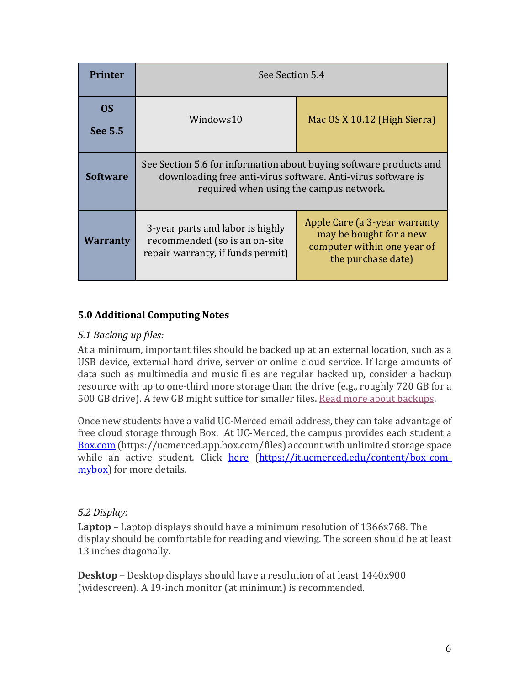| <b>Printer</b>  | See Section 5.4                                                                                                                                                               |                                                                                                               |  |  |
|-----------------|-------------------------------------------------------------------------------------------------------------------------------------------------------------------------------|---------------------------------------------------------------------------------------------------------------|--|--|
| OS.<br>See 5.5  | Windows10                                                                                                                                                                     | Mac OS X 10.12 (High Sierra)                                                                                  |  |  |
| <b>Software</b> | See Section 5.6 for information about buying software products and<br>downloading free anti-virus software. Anti-virus software is<br>required when using the campus network. |                                                                                                               |  |  |
| <b>Warranty</b> | 3-year parts and labor is highly<br>recommended (so is an on-site<br>repair warranty, if funds permit)                                                                        | Apple Care (a 3-year warranty<br>may be bought for a new<br>computer within one year of<br>the purchase date) |  |  |

## **5.0 Additional Computing Notes**

## *5.1 Backing up files:*

At a minimum, important files should be backed up at an external location, such as a USB device, external hard drive, server or online cloud service. If large amounts of data such as multimedia and music files are regular backed up, consider a backup resource with up to one-third more storage than the drive (e.g., roughly 720 GB for a 500 GB drive). A few GB might suffice for smaller files. Read more about backups.

Once new students have a valid UC-Merced email address, they can take advantage of free cloud storage through Box. At UC-Merced, the campus provides each student a Box.com (https://ucmerced.app.box.com/files) account with unlimited storage space while an active student. Click here (https://it.ucmerced.edu/content/box-commybox) for more details.

## *5.2 Display:*

**Laptop** – Laptop displays should have a minimum resolution of 1366x768. The display should be comfortable for reading and viewing. The screen should be at least 13 inches diagonally.

**Desktop** – Desktop displays should have a resolution of at least 1440x900 (widescreen). A 19-inch monitor (at minimum) is recommended.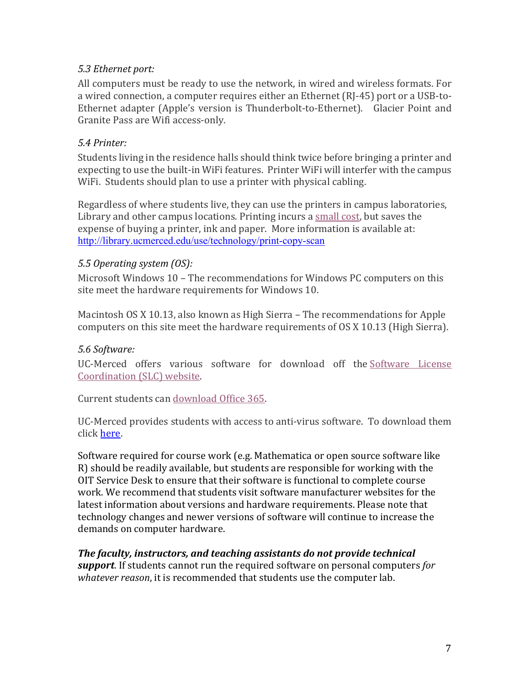## *5.3 Ethernet port:*

All computers must be ready to use the network, in wired and wireless formats. For a wired connection, a computer requires either an Ethernet (RJ-45) port or a USB-to-Ethernet adapter (Apple's version is Thunderbolt-to-Ethernet). Glacier Point and Granite Pass are Wifi access-only.

#### *5.4 Printer:*

Students living in the residence halls should think twice before bringing a printer and expecting to use the built-in WiFi features. Printer WiFi will interfer with the campus WiFi. Students should plan to use a printer with physical cabling.

Regardless of where students live, they can use the printers in campus laboratories, Library and other campus locations. Printing incurs a small cost, but saves the expense of buying a printer, ink and paper. More information is available at: http://library.ucmerced.edu/use/technology/print-copy-scan

#### *5.5 Operating system (OS):*

Microsoft Windows 10 - The recommendations for Windows PC computers on this site meet the hardware requirements for Windows 10.

Macintosh OS X 10.13, also known as High Sierra – The recommendations for Apple computers on this site meet the hardware requirements of OS X 10.13 (High Sierra).

## *5.6 Software:*

UC-Merced offers various software for download off the Software License Coordination (SLC) website.

Current students can download Office 365.

UC-Merced provides students with access to anti-virus software. To download them click here.

Software required for course work (e.g. Mathematica or open source software like R) should be readily available, but students are responsible for working with the OIT Service Desk to ensure that their software is functional to complete course work. We recommend that students visit software manufacturer websites for the latest information about versions and hardware requirements. Please note that technology changes and newer versions of software will continue to increase the demands on computer hardware.

#### **The faculty, instructors, and teaching assistants do not provide technical** *support*. If students cannot run the required software on personal computers for

*whatever reason*, it is recommended that students use the computer lab.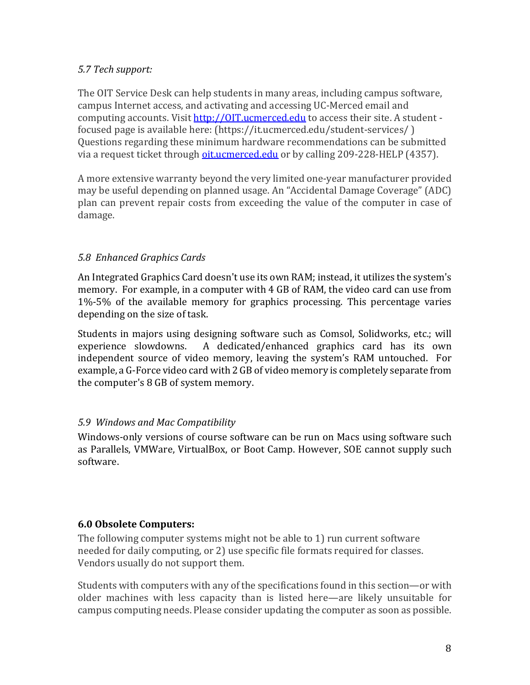## *5.7 Tech support:*

The OIT Service Desk can help students in many areas, including campus software, campus Internet access, and activating and accessing UC-Merced email and computing accounts. Visit http://0IT.ucmerced.edu to access their site. A student focused page is available here: (https://it.ucmerced.edu/student-services/) Questions regarding these minimum hardware recommendations can be submitted via a request ticket through oit ucmerced.edu or by calling 209-228-HELP (4357).

A more extensive warranty beyond the very limited one-year manufacturer provided may be useful depending on planned usage. An "Accidental Damage Coverage" (ADC) plan can prevent repair costs from exceeding the value of the computer in case of damage.

#### *5.8 Enhanced Graphics Cards*

An Integrated Graphics Card doesn't use its own RAM; instead, it utilizes the system's memory. For example, in a computer with 4 GB of RAM, the video card can use from 1%-5% of the available memory for graphics processing. This percentage varies depending on the size of task.

Students in majors using designing software such as Comsol, Solidworks, etc.; will experience slowdowns. A dedicated/enhanced graphics card has its own independent source of video memory, leaving the system's RAM untouched. For example, a G-Force video card with 2 GB of video memory is completely separate from the computer's 8 GB of system memory.

#### *5.9 Windows and Mac Compatibility*

Windows-only versions of course software can be run on Macs using software such as Parallels, VMWare, VirtualBox, or Boot Camp. However, SOE cannot supply such software.

## **6.0 Obsolete Computers:**

The following computer systems might not be able to 1) run current software needed for daily computing, or 2) use specific file formats required for classes. Vendors usually do not support them.

Students with computers with any of the specifications found in this section—or with older machines with less capacity than is listed here—are likely unsuitable for campus computing needs. Please consider updating the computer as soon as possible.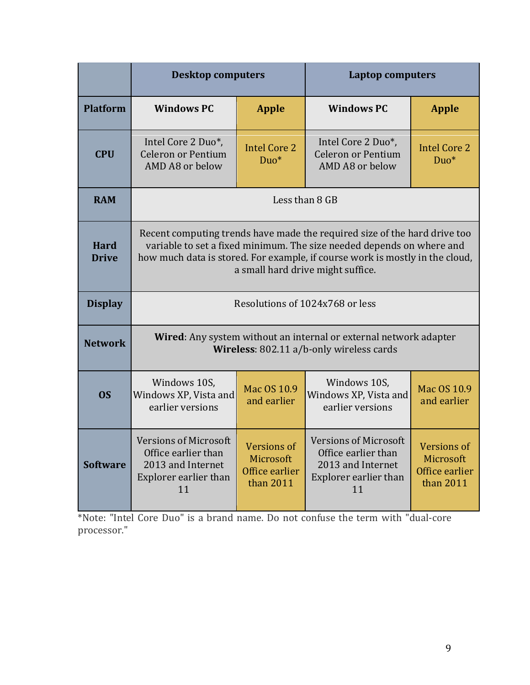|                             | <b>Desktop computers</b>                                                                                                                                                                                                                                                |                                                                | <b>Laptop computers</b>                                                                                 |                                                                |  |
|-----------------------------|-------------------------------------------------------------------------------------------------------------------------------------------------------------------------------------------------------------------------------------------------------------------------|----------------------------------------------------------------|---------------------------------------------------------------------------------------------------------|----------------------------------------------------------------|--|
| <b>Platform</b>             | <b>Windows PC</b>                                                                                                                                                                                                                                                       | <b>Apple</b>                                                   | <b>Windows PC</b>                                                                                       | <b>Apple</b>                                                   |  |
| <b>CPU</b>                  | Intel Core 2 Duo*,<br><b>Celeron or Pentium</b><br>AMD A8 or below                                                                                                                                                                                                      | <b>Intel Core 2</b><br>Duo*                                    | Intel Core 2 Duo*,<br><b>Celeron or Pentium</b><br>AMD A8 or below                                      | <b>Intel Core 2</b><br>Duo*                                    |  |
| <b>RAM</b>                  | Less than 8 GB                                                                                                                                                                                                                                                          |                                                                |                                                                                                         |                                                                |  |
| <b>Hard</b><br><b>Drive</b> | Recent computing trends have made the required size of the hard drive too<br>variable to set a fixed minimum. The size needed depends on where and<br>how much data is stored. For example, if course work is mostly in the cloud,<br>a small hard drive might suffice. |                                                                |                                                                                                         |                                                                |  |
| <b>Display</b>              | Resolutions of 1024x768 or less                                                                                                                                                                                                                                         |                                                                |                                                                                                         |                                                                |  |
| <b>Network</b>              | <b>Wired:</b> Any system without an internal or external network adapter<br>Wireless: 802.11 a/b-only wireless cards                                                                                                                                                    |                                                                |                                                                                                         |                                                                |  |
| <b>OS</b>                   | Windows 10S,<br>Windows XP, Vista and<br>earlier versions                                                                                                                                                                                                               | Mac OS 10.9<br>and earlier                                     | Windows 10S,<br>Windows XP, Vista and<br>earlier versions                                               | Mac OS 10.9<br>and earlier                                     |  |
| <b>Software</b>             | <b>Versions of Microsoft</b><br>Office earlier than<br>2013 and Internet<br>Explorer earlier than<br>11                                                                                                                                                                 | <b>Versions of</b><br>Microsoft<br>Office earlier<br>than 2011 | <b>Versions of Microsoft</b><br>Office earlier than<br>2013 and Internet<br>Explorer earlier than<br>11 | <b>Versions of</b><br>Microsoft<br>Office earlier<br>than 2011 |  |

\*Note: "Intel Core Duo" is a brand name. Do not confuse the term with "dual-core processor."